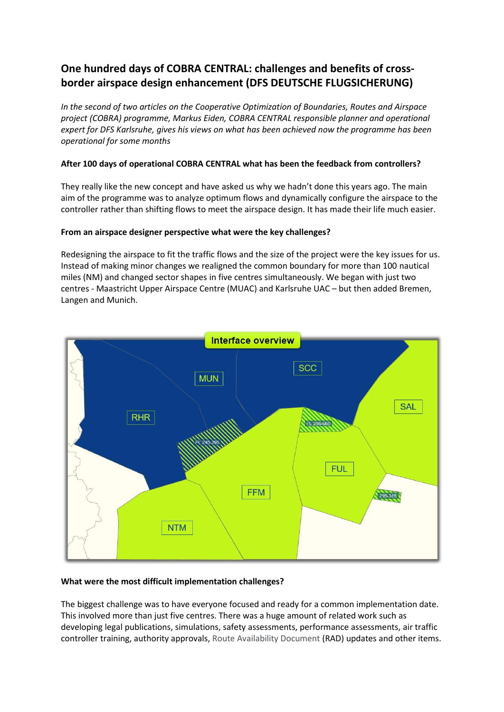# **One hundred days of COBRA CENTRAL: challenges and benefits of crossborder airspace design enhancement (DFS DEUTSCHE FLUGSICHERUNG)**

*In the second of two articles on the Cooperative Optimization of Boundaries, Routes and Airspace project (COBRA) programme, Markus Eiden, COBRA CENTRAL responsible planner and operational expert for DFS Karlsruhe, gives his views on what has been achieved now the programme has been operational for some months*

## **After 100 days of operational COBRA CENTRAL what has been the feedback from controllers?**

They really like the new concept and have asked us why we hadn't done this years ago. The main aim of the programme was to analyze optimum flows and dynamically configure the airspace to the controller rather than shifting flows to meet the airspace design. It has made their life much easier.

## **From an airspace designer perspective what were the key challenges?**

Redesigning the airspace to fit the traffic flows and the size of the project were the key issues for us. Instead of making minor changes we realigned the common boundary for more than 100 nautical miles (NM) and changed sector shapes in five centres simultaneously. We began with just two centres - Maastricht Upper Airspace Centre (MUAC) and Karlsruhe UAC – but then added Bremen, Langen and Munich.



## **What were the most difficult implementation challenges?**

The biggest challenge was to have everyone focused and ready for a common implementation date. This involved more than just five centres. There was a huge amount of related work such as developing legal publications, simulations, safety assessments, performance assessments, air traffic controller training, authority approvals, Route Availability Document (RAD) updates and other items.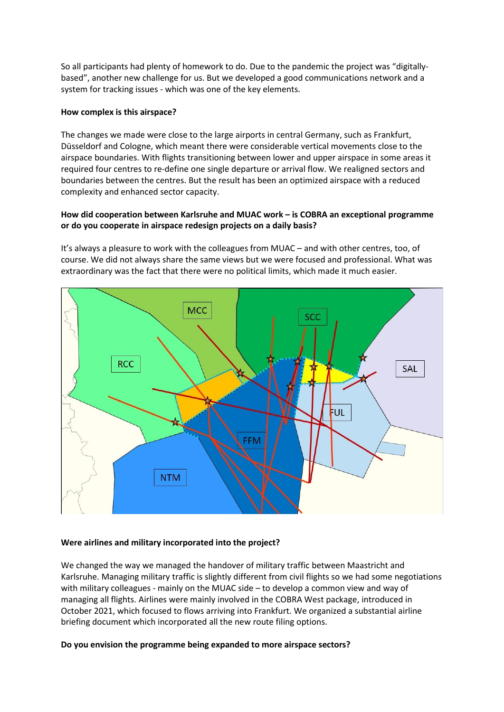So all participants had plenty of homework to do. Due to the pandemic the project was "digitallybased", another new challenge for us. But we developed a good communications network and a system for tracking issues - which was one of the key elements.

### **How complex is this airspace?**

The changes we made were close to the large airports in central Germany, such as Frankfurt, Düsseldorf and Cologne, which meant there were considerable vertical movements close to the airspace boundaries. With flights transitioning between lower and upper airspace in some areas it required four centres to re-define one single departure or arrival flow. We realigned sectors and boundaries between the centres. But the result has been an optimized airspace with a reduced complexity and enhanced sector capacity.

## **How did cooperation between Karlsruhe and MUAC work – is COBRA an exceptional programme or do you cooperate in airspace redesign projects on a daily basis?**

It's always a pleasure to work with the colleagues from MUAC – and with other centres, too, of course. We did not always share the same views but we were focused and professional. What was extraordinary was the fact that there were no political limits, which made it much easier.



## **Were airlines and military incorporated into the project?**

We changed the way we managed the handover of military traffic between Maastricht and Karlsruhe. Managing military traffic is slightly different from civil flights so we had some negotiations with military colleagues - mainly on the MUAC side – to develop a common view and way of managing all flights. Airlines were mainly involved in the COBRA West package, introduced in October 2021, which focused to flows arriving into Frankfurt. We organized a substantial airline briefing document which incorporated all the new route filing options.

#### **Do you envision the programme being expanded to more airspace sectors?**